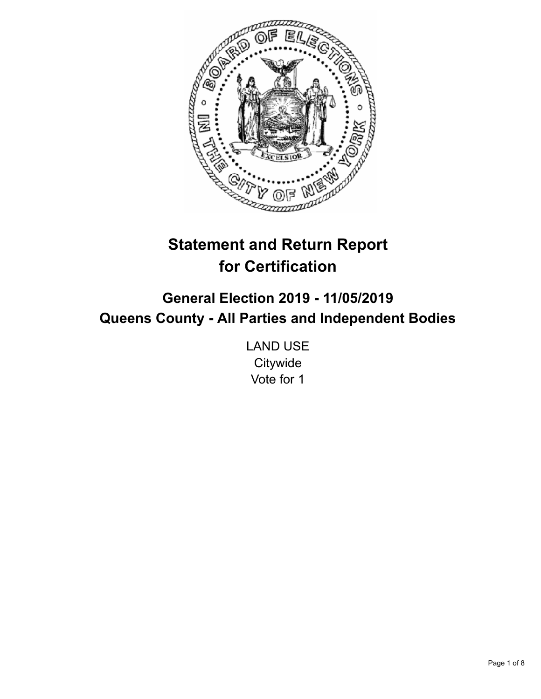

# **Statement and Return Report for Certification**

## **General Election 2019 - 11/05/2019 Queens County - All Parties and Independent Bodies**

LAND USE **Citywide** Vote for 1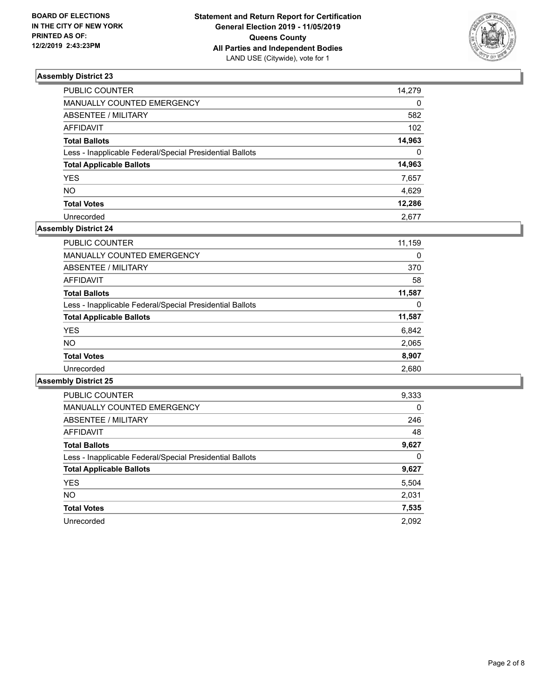

| PUBLIC COUNTER                                           | 14,279   |
|----------------------------------------------------------|----------|
| MANUALLY COUNTED EMERGENCY                               | $\Omega$ |
| <b>ABSENTEE / MILITARY</b>                               | 582      |
| <b>AFFIDAVIT</b>                                         | 102      |
| <b>Total Ballots</b>                                     | 14,963   |
| Less - Inapplicable Federal/Special Presidential Ballots | $\Omega$ |
| <b>Total Applicable Ballots</b>                          | 14,963   |
| <b>YES</b>                                               | 7,657    |
| <b>NO</b>                                                | 4,629    |
| <b>Total Votes</b>                                       | 12,286   |
| Unrecorded                                               | 2.677    |

## **Assembly District 24**

| 11,159 |
|--------|
| 0      |
| 370    |
| 58     |
| 11,587 |
| 0      |
| 11,587 |
| 6,842  |
| 2,065  |
| 8,907  |
| 2,680  |
|        |

| <b>PUBLIC COUNTER</b>                                    | 9,333 |
|----------------------------------------------------------|-------|
| <b>MANUALLY COUNTED EMERGENCY</b>                        | 0     |
| ABSENTEE / MILITARY                                      | 246   |
| <b>AFFIDAVIT</b>                                         | 48    |
| <b>Total Ballots</b>                                     | 9,627 |
| Less - Inapplicable Federal/Special Presidential Ballots | 0     |
| <b>Total Applicable Ballots</b>                          | 9,627 |
| <b>YES</b>                                               | 5,504 |
| NO.                                                      | 2,031 |
| <b>Total Votes</b>                                       | 7,535 |
| Unrecorded                                               | 2.092 |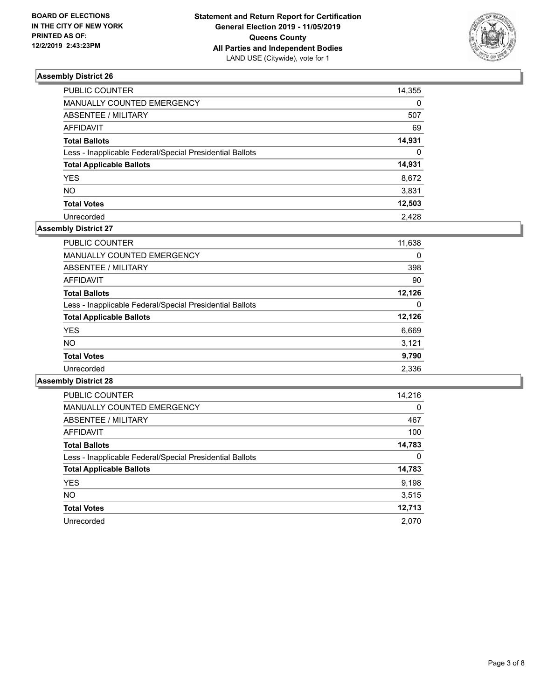

| PUBLIC COUNTER                                           | 14,355   |
|----------------------------------------------------------|----------|
|                                                          |          |
| MANUALLY COUNTED EMERGENCY                               | $\Omega$ |
| <b>ABSENTEE / MILITARY</b>                               | 507      |
| <b>AFFIDAVIT</b>                                         | 69       |
| <b>Total Ballots</b>                                     | 14,931   |
| Less - Inapplicable Federal/Special Presidential Ballots | $\Omega$ |
| <b>Total Applicable Ballots</b>                          | 14,931   |
| <b>YES</b>                                               | 8,672    |
| <b>NO</b>                                                | 3,831    |
| <b>Total Votes</b>                                       | 12,503   |
| Unrecorded                                               | 2.428    |

## **Assembly District 27**

| PUBLIC COUNTER                                           | 11,638 |
|----------------------------------------------------------|--------|
| MANUALLY COUNTED EMERGENCY                               | 0      |
| ABSENTEE / MILITARY                                      | 398    |
| AFFIDAVIT                                                | 90     |
| <b>Total Ballots</b>                                     | 12,126 |
| Less - Inapplicable Federal/Special Presidential Ballots | 0      |
| <b>Total Applicable Ballots</b>                          | 12,126 |
| <b>YES</b>                                               | 6,669  |
| <b>NO</b>                                                | 3,121  |
| <b>Total Votes</b>                                       | 9,790  |
| Unrecorded                                               | 2,336  |

| <b>PUBLIC COUNTER</b>                                    | 14,216   |
|----------------------------------------------------------|----------|
| <b>MANUALLY COUNTED EMERGENCY</b>                        | $\Omega$ |
| ABSENTEE / MILITARY                                      | 467      |
| <b>AFFIDAVIT</b>                                         | 100      |
| <b>Total Ballots</b>                                     | 14,783   |
| Less - Inapplicable Federal/Special Presidential Ballots | 0        |
| <b>Total Applicable Ballots</b>                          | 14,783   |
| <b>YES</b>                                               | 9,198    |
| NO.                                                      | 3,515    |
| <b>Total Votes</b>                                       | 12,713   |
| Unrecorded                                               | 2.070    |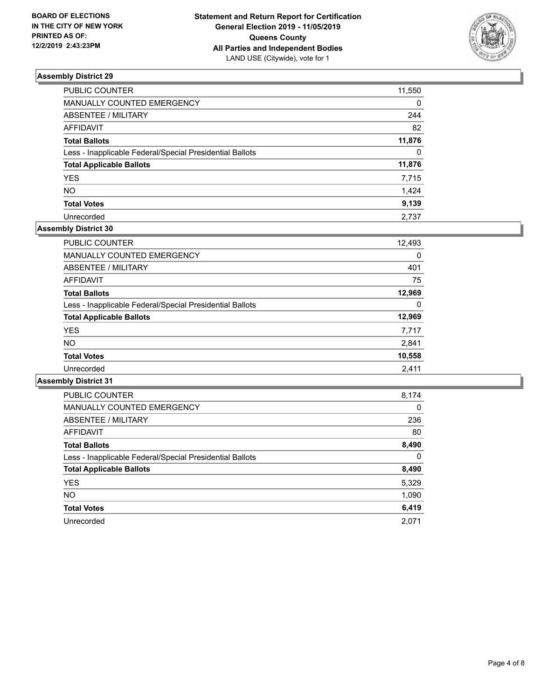

| PUBLIC COUNTER                                           | 11,550   |
|----------------------------------------------------------|----------|
| <b>MANUALLY COUNTED EMERGENCY</b>                        | 0        |
| ABSENTEE / MILITARY                                      | 244      |
| <b>AFFIDAVIT</b>                                         | 82       |
| <b>Total Ballots</b>                                     | 11,876   |
| Less - Inapplicable Federal/Special Presidential Ballots | $\Omega$ |
| <b>Total Applicable Ballots</b>                          | 11,876   |
| <b>YES</b>                                               | 7,715    |
| <b>NO</b>                                                | 1,424    |
| <b>Total Votes</b>                                       | 9,139    |
| Unrecorded                                               | 2.737    |

## **Assembly District 30**

| <b>PUBLIC COUNTER</b>                                    | 12,493 |
|----------------------------------------------------------|--------|
| <b>MANUALLY COUNTED EMERGENCY</b>                        | 0      |
| ABSENTEE / MILITARY                                      | 401    |
| AFFIDAVIT                                                | 75     |
| <b>Total Ballots</b>                                     | 12,969 |
| Less - Inapplicable Federal/Special Presidential Ballots | 0      |
| <b>Total Applicable Ballots</b>                          | 12,969 |
| <b>YES</b>                                               | 7,717  |
| NO.                                                      | 2,841  |
| <b>Total Votes</b>                                       | 10,558 |
| Unrecorded                                               | 2,411  |

| <b>PUBLIC COUNTER</b>                                    | 8,174    |
|----------------------------------------------------------|----------|
| <b>MANUALLY COUNTED EMERGENCY</b>                        | $\Omega$ |
| ABSENTEE / MILITARY                                      | 236      |
| AFFIDAVIT                                                | 80       |
| <b>Total Ballots</b>                                     | 8,490    |
| Less - Inapplicable Federal/Special Presidential Ballots | 0        |
| <b>Total Applicable Ballots</b>                          | 8,490    |
| <b>YES</b>                                               | 5,329    |
| NO.                                                      | 1,090    |
| <b>Total Votes</b>                                       | 6,419    |
| Unrecorded                                               | 2.071    |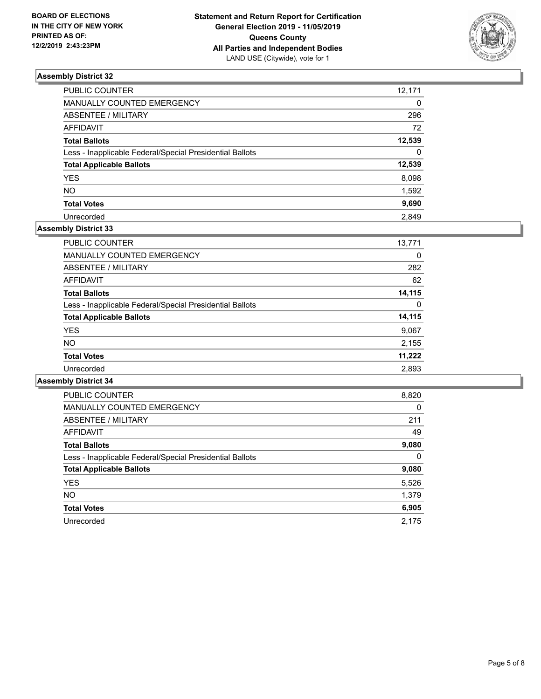

| PUBLIC COUNTER                                           | 12,171   |
|----------------------------------------------------------|----------|
| MANUALLY COUNTED EMERGENCY                               | $\Omega$ |
| <b>ABSENTEE / MILITARY</b>                               | 296      |
| <b>AFFIDAVIT</b>                                         | 72       |
| <b>Total Ballots</b>                                     | 12,539   |
| Less - Inapplicable Federal/Special Presidential Ballots | $\Omega$ |
| <b>Total Applicable Ballots</b>                          | 12,539   |
| <b>YES</b>                                               | 8,098    |
| <b>NO</b>                                                | 1,592    |
| <b>Total Votes</b>                                       | 9,690    |
| Unrecorded                                               | 2.849    |

#### **Assembly District 33**

| 13,771   |
|----------|
| 0        |
| 282      |
| 62       |
| 14,115   |
| $\Omega$ |
| 14,115   |
| 9,067    |
| 2,155    |
| 11,222   |
| 2,893    |
|          |

| <b>PUBLIC COUNTER</b>                                    | 8,820    |
|----------------------------------------------------------|----------|
| <b>MANUALLY COUNTED EMERGENCY</b>                        | $\Omega$ |
| ABSENTEE / MILITARY                                      | 211      |
| AFFIDAVIT                                                | 49       |
| <b>Total Ballots</b>                                     | 9,080    |
| Less - Inapplicable Federal/Special Presidential Ballots | $\Omega$ |
| <b>Total Applicable Ballots</b>                          | 9,080    |
| <b>YES</b>                                               | 5,526    |
| <b>NO</b>                                                | 1,379    |
| <b>Total Votes</b>                                       | 6,905    |
| Unrecorded                                               | 2.175    |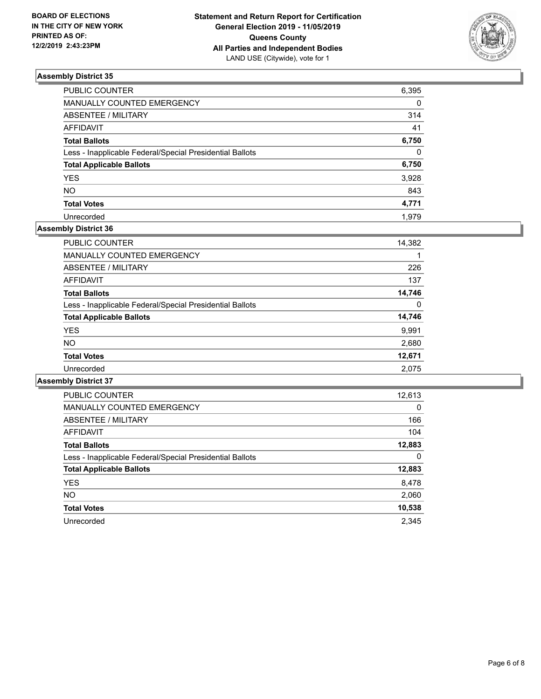

| PUBLIC COUNTER                                           | 6,395    |
|----------------------------------------------------------|----------|
| MANUALLY COUNTED EMERGENCY                               | $\Omega$ |
| ABSENTEE / MILITARY                                      | 314      |
| <b>AFFIDAVIT</b>                                         | 41       |
| <b>Total Ballots</b>                                     | 6,750    |
| Less - Inapplicable Federal/Special Presidential Ballots | $\Omega$ |
| <b>Total Applicable Ballots</b>                          | 6,750    |
| <b>YES</b>                                               | 3,928    |
| <b>NO</b>                                                | 843      |
| <b>Total Votes</b>                                       | 4,771    |
| Unrecorded                                               | 1.979    |

## **Assembly District 36**

| <b>PUBLIC COUNTER</b>                                    | 14,382 |
|----------------------------------------------------------|--------|
| <b>MANUALLY COUNTED EMERGENCY</b>                        |        |
| ABSENTEE / MILITARY                                      | 226    |
| AFFIDAVIT                                                | 137    |
| <b>Total Ballots</b>                                     | 14,746 |
| Less - Inapplicable Federal/Special Presidential Ballots | 0      |
| <b>Total Applicable Ballots</b>                          | 14,746 |
| <b>YES</b>                                               | 9,991  |
| <b>NO</b>                                                | 2,680  |
| <b>Total Votes</b>                                       | 12,671 |
| Unrecorded                                               | 2.075  |

| <b>PUBLIC COUNTER</b>                                    | 12,613   |
|----------------------------------------------------------|----------|
| <b>MANUALLY COUNTED EMERGENCY</b>                        | $\Omega$ |
| ABSENTEE / MILITARY                                      | 166      |
| <b>AFFIDAVIT</b>                                         | 104      |
| <b>Total Ballots</b>                                     | 12,883   |
| Less - Inapplicable Federal/Special Presidential Ballots | 0        |
| <b>Total Applicable Ballots</b>                          | 12,883   |
| <b>YES</b>                                               | 8,478    |
| NO.                                                      | 2,060    |
| <b>Total Votes</b>                                       | 10,538   |
| Unrecorded                                               | 2.345    |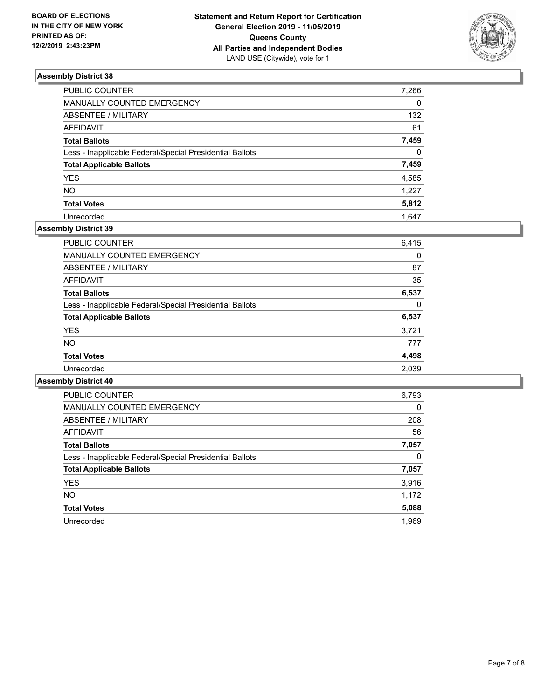

| PUBLIC COUNTER                                           | 7,266    |
|----------------------------------------------------------|----------|
| MANUALLY COUNTED EMERGENCY                               | $\Omega$ |
| ABSENTEE / MILITARY                                      | 132      |
| AFFIDAVIT                                                | 61       |
| <b>Total Ballots</b>                                     | 7,459    |
| Less - Inapplicable Federal/Special Presidential Ballots | $\Omega$ |
| <b>Total Applicable Ballots</b>                          | 7,459    |
| <b>YES</b>                                               | 4,585    |
| <b>NO</b>                                                | 1,227    |
| <b>Total Votes</b>                                       | 5,812    |
| Unrecorded                                               | 1.647    |

## **Assembly District 39**

| <b>PUBLIC COUNTER</b>                                    | 6,415 |
|----------------------------------------------------------|-------|
| <b>MANUALLY COUNTED EMERGENCY</b>                        | 0     |
| ABSENTEE / MILITARY                                      | 87    |
| AFFIDAVIT                                                | 35    |
| <b>Total Ballots</b>                                     | 6,537 |
| Less - Inapplicable Federal/Special Presidential Ballots | 0     |
| <b>Total Applicable Ballots</b>                          | 6,537 |
| <b>YES</b>                                               | 3,721 |
| <b>NO</b>                                                | 777   |
| <b>Total Votes</b>                                       | 4,498 |
| Unrecorded                                               | 2,039 |

| <b>PUBLIC COUNTER</b>                                    | 6,793    |
|----------------------------------------------------------|----------|
| <b>MANUALLY COUNTED EMERGENCY</b>                        | $\Omega$ |
| ABSENTEE / MILITARY                                      | 208      |
| <b>AFFIDAVIT</b>                                         | 56       |
| <b>Total Ballots</b>                                     | 7,057    |
| Less - Inapplicable Federal/Special Presidential Ballots | 0        |
| <b>Total Applicable Ballots</b>                          | 7,057    |
| <b>YES</b>                                               | 3,916    |
| NO.                                                      | 1,172    |
| <b>Total Votes</b>                                       | 5,088    |
| Unrecorded                                               | 1.969    |